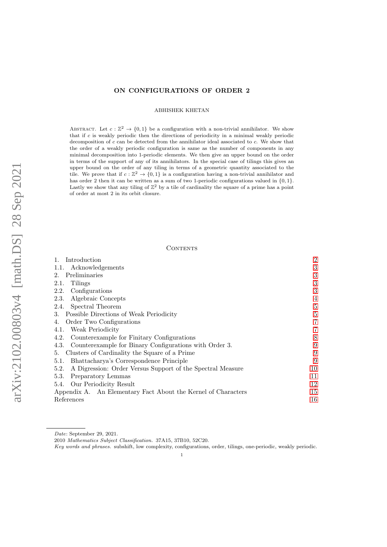# ON CONFIGURATIONS OF ORDER 2

ABHISHEK KHETAN

ABSTRACT. Let  $c : \mathbb{Z}^2 \to \{0,1\}$  be a configuration with a non-trivial annihilator. We show that if c is weakly periodic then the directions of periodicity in a minimal weakly periodic decomposition of c can be detected from the annihilator ideal associated to c. We show that the order of a weakly periodic configuration is same as the number of components in any minimal decomposition into 1-periodic elements. We then give an upper bound on the order in terms of the support of any of its annihilators. In the special case of tilings this gives an upper bound on the order of any tiling in terms of a geometric quantity associated to the tile. We prove that if  $c: \mathbb{Z}^2 \to \{0,1\}$  is a configuration having a non-trivial annihilator and has order 2 then it can be written as a sum of two 1-periodic configurations valued in  $\{0, 1\}$ . Lastly we show that any tiling of  $\mathbb{Z}^2$  by a tile of cardinality the square of a prime has a point of order at most 2 in its orbit closure.

## **CONTENTS**

| Introduction                                                       | $\overline{2}$ |
|--------------------------------------------------------------------|----------------|
| Acknowledgements<br>1.1.                                           | 3              |
| Preliminaries<br>2.                                                | 3              |
| Tilings<br>2.1.                                                    | 3              |
| Configurations<br>2.2.                                             | 3              |
| Algebraic Concepts<br>2.3.                                         | 4              |
| Spectral Theorem<br>2.4.                                           | 5              |
| 3. Possible Directions of Weak Periodicity                         | $\overline{5}$ |
| Order Two Configurations<br>4.                                     | 7              |
| Weak Periodicity<br>4.1.                                           | 7              |
| Counterexample for Finitary Configurations<br>4.2.                 | 8              |
| Counterexample for Binary Configurations with Order 3.<br>4.3.     | 9              |
| Clusters of Cardinality the Square of a Prime<br>5.                | 9              |
| Bhattacharya's Correspondence Principle<br>5.1.                    | 9              |
| A Digression: Order Versus Support of the Spectral Measure<br>5.2. | 10             |
| 5.3.<br>Preparatory Lemmas                                         | 11             |
| Our Periodicity Result<br>5.4.                                     | 12             |
| Appendix A. An Elementary Fact About the Kernel of Characters      | 15             |
| References                                                         | 16             |

Date: September 29, 2021.

<sup>2010</sup> Mathematics Subject Classification. 37A15, 37B10, 52C20.

Key words and phrases. subshift, low complexity, configurations, order, tilings, one-periodic, weakly periodic.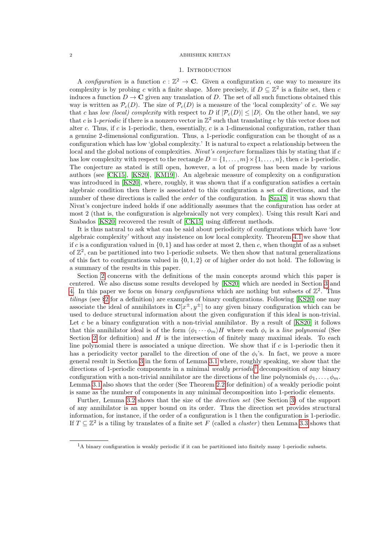# 1. INTRODUCTION

<span id="page-1-0"></span>A configuration is a function  $c : \mathbb{Z}^2 \to \mathbb{C}$ . Given a configuration c, one way to measure its complexity is by probing c with a finite shape. More precisely, if  $D \subseteq \mathbb{Z}^2$  is a finite set, then c induces a function  $D \to \mathbf{C}$  given any translation of D. The set of all such functions obtained this way is written as  $\mathcal{P}_c(D)$ . The size of  $\mathcal{P}_c(D)$  is a measure of the 'local complexity' of c. We say that c has low (local) complexity with respect to D if  $|\mathcal{P}_c(D)| < |D|$ . On the other hand, we say that c is 1-periodic if there is a nonzero vector in  $\mathbb{Z}^2$  such that translating c by this vector does not alter c. Thus, if c is 1-periodic, then, essentially, c is a 1-dimensional configuration, rather than a genuine 2-dimensional configuration. Thus, a 1-periodic configuration can be thought of as a configuration which has low 'global complexity.' It is natural to expect a relationship between the local and the global notions of complexities. Nivat's conjecture formalizes this by stating that if c has low complexity with respect to the rectangle  $D = \{1, \ldots, m\} \times \{1, \ldots, n\}$ , then c is 1-periodic. The conjecture as stated is still open, however, a lot of progress has been made by various authors (see [\[CK15\]](#page-15-1), [\[KS20\]](#page-15-2), [\[KM19\]](#page-15-3)). An algebraic measure of complexity on a configuration was introduced in [\[KS20\]](#page-15-2), where, roughly, it was shown that if a configuration satisfies a certain algebraic condition then there is associated to this configuration a set of directions, and the number of these directions is called the *order* of the configuration. In [\[Sza18\]](#page-15-4) it was shown that Nivat's conjecture indeed holds if one additionally assumes that the configuration has order at most 2 (that is, the configuration is algebraically not very complex). Using this result Kari and Szabados [\[KS20\]](#page-15-2) recovered the result of [\[CK15\]](#page-15-1) using different methods.

It is thus natural to ask what can be said about periodicity of configurations which have 'low algebraic complexity' without any insistence on low local complexity. Theorem [4.1](#page-6-2) we show that if c is a configuration valued in  $\{0, 1\}$  and has order at most 2, then c, when thought of as a subset of  $\mathbb{Z}^2$ , can be partitioned into two 1-periodic subsets. We then show that natural generalizations of this fact to configurations valued in  $\{0, 1, 2\}$  or of higher order do not hold. The following is a summary of the results in this paper.

Section [2](#page-2-1) concerns with the definitions of the main concepts around which this paper is centered. We also discuss some results developed by [\[KS20\]](#page-15-2) which are needed in Section [3](#page-4-1) and [4.](#page-6-0) In this paper we focus on *binary configurations* which are nothing but subsets of  $\mathbb{Z}^2$ . Thus tilings (see §[2](#page-2-1) for a definition) are examples of binary configurations. Following [\[KS20\]](#page-15-2) one may associate the ideal of annihilators in  $C[x^{\pm}, y^{\pm}]$  to any given binary configuration which can be used to deduce structural information about the given configuration if this ideal is non-trivial. Let c be a binary configuration with a non-trivial annihilator. By a result of  $[KS20]$  it follows that this annihilator ideal is of the form  $\langle \phi_1 \cdots \phi_m \rangle H$  where each  $\phi_i$  is a line polynomial (See Section [2](#page-2-1) for definition) and  $H$  is the intersection of finitely many maximal ideals. To each line polynomial there is associated a unique direction. We show that if  $c$  is 1-periodic then it has a periodicity vector parallel to the direction of one of the  $\phi_i$ 's. In fact, we prove a more general result in Section [3](#page-4-1) in the form of Lemma [3.1](#page-4-2) where, roughly speaking, we show that the directions of [1](#page-1-1)-periodic components in a minimal *weakly periodic*<sup>1</sup> decomposition of any binary configuration with a non-trivial annihilator are the directions of the line polynomials  $\phi_1, \ldots, \phi_m$ . Lemma [3.1](#page-4-2) also shows that the order (See Theorem [2.2](#page-3-1) for definition) of a weakly periodic point is same as the number of components in any minimal decomposition into 1-periodic elements.

Further, Lemma [3.2](#page-5-0) shows that the size of the direction set (See Section [3\)](#page-4-1) of the support of any annihilator is an upper bound on its order. Thus the direction set provides structural information, for instance, if the order of a configuration is 1 then the configuration is 1-periodic. If  $T \subseteq \mathbb{Z}^2$  is a tiling by translates of a finite set F (called a *cluster*) then Lemma [3.3](#page-6-3) shows that

<span id="page-1-1"></span> $1_A$  binary configuration is weakly periodic if it can be partitioned into finitely many 1-periodic subsets.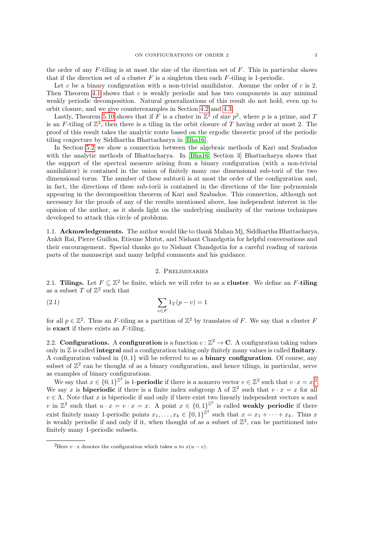the order of any  $F$ -tiling is at most the size of the direction set of  $F$ . This in particular shows that if the direction set of a cluster  $F$  is a singleton then each  $F$ -tiling is 1-periodic.

Let c be a binary configuration with a non-trivial annihilator. Assume the order of c is 2. Then Theorem [4.1](#page-6-2) shows that  $c$  is weakly periodic and has two components in any minimal weakly periodic decomposition. Natural generalizations of this result do not hold, even up to orbit closure, and we give counterexamples in Section [4.2](#page-7-0) and [4.3.](#page-8-0)

Lastly, Theorem [5.10](#page-12-0) shows that if F is a cluster in  $\mathbb{Z}^2$  of size  $p^2$ , where p is a prime, and T is an F-tiling of  $\mathbb{Z}^2$ , then there is a tiling in the orbit closure of T having order at most 2. The proof of this result takes the analytic route based on the ergodic theoretic proof of the periodic tiling conjecture by Siddhartha Bhattacharya in [\[Bha16\]](#page-15-5).

In Section [5.2](#page-9-0) we show a connection between the algebraic methods of Kari and Szabados with the analytic methods of Bhattacharya. In [\[Bha16,](#page-15-5) Section 3] Bhattacharya shows that the support of the spectral measure arising from a binary configuration (with a non-trivial annihilator) is contained in the union of finitely many one dimensional sub-torii of the two dimensional torus. The number of these subtorii is at most the order of the configuration and, in fact, the directions of these sub-torii is contained in the directions of the line polynomials appearing in the decomposition theorem of Kari and Szabados. This connection, although not necessary for the proofs of any of the results mentioned above, has independent interest in the opinion of the author, as it sheds light on the underlying similarity of the various techniques developed to attack this circle of problems.

<span id="page-2-0"></span>1.1. Acknowledgements. The author would like to thank Mahan Mj, Siddhartha Bhattacharya, Ankit Rai, Pierre Guillon, Etienne Mutot, and Nishant Chandgotia for helpful conversations and their encouragement. Special thanks go to Nishant Chandgotia for a careful reading of various parts of the manuscript and many helpful comments and his guidance.

# 2. Preliminaries

<span id="page-2-2"></span><span id="page-2-1"></span>2.1. Tilings. Let  $F \subseteq \mathbb{Z}^2$  be finite, which we will refer to as a cluster. We define an F-tiling as a subset  $T$  of  $\mathbb{Z}^2$  such that

(2.1) 
$$
\sum_{v \in F} 1_T(p - v) = 1
$$

for all  $p \in \mathbb{Z}^2$ . Thus an F-tiling as a partition of  $\mathbb{Z}^2$  by translates of F. We say that a cluster F is exact if there exists an F-tiling.

<span id="page-2-3"></span>2.2. Configurations. A configuration is a function  $c : \mathbb{Z}^2 \to \mathbb{C}$ . A configuration taking values only in  $\mathbb Z$  is called **integral** and a configuration taking only finitely many values is called **finitary**. A configuration valued in  $\{0,1\}$  will be referred to as a **binary configuration**. Of course, any subset of  $\mathbb{Z}^2$  can be thought of as a binary configuration, and hence tilings, in particular, serve as examples of binary configurations.

We say that  $x \in \{0,1\}^{\mathbb{Z}^2}$  $x \in \{0,1\}^{\mathbb{Z}^2}$  $x \in \{0,1\}^{\mathbb{Z}^2}$  is 1-**periodic** if there is a nonzero vector  $v \in \mathbb{Z}^2$  such that  $v \cdot x = x^2$ . We say x is **biperiodic** if there is a finite index subgroup  $\Lambda$  of  $\mathbb{Z}^2$  such that  $v \cdot x = x$  for all  $v \in \Lambda$ . Note that x is biperiodic if and only if there exist two linearly independent vectors u and v in  $\mathbb{Z}^2$  such that  $u \cdot x = v \cdot x = x$ . A point  $x \in \{0,1\}^{\mathbb{Z}^2}$  is called weakly periodic if there exist finitely many 1-periodic points  $x_1, \ldots, x_k \in \{0,1\}^{\mathbb{Z}^2}$  such that  $x = x_1 + \cdots + x_k$ . Thus x is weakly periodic if and only if it, when thought of as a subset of  $\mathbb{Z}^2$ , can be partitioned into finitely many 1-periodic subsets.

<span id="page-2-4"></span><sup>&</sup>lt;sup>2</sup>Here  $v \cdot x$  denotes the configuration which takes u to  $x(u - v)$ .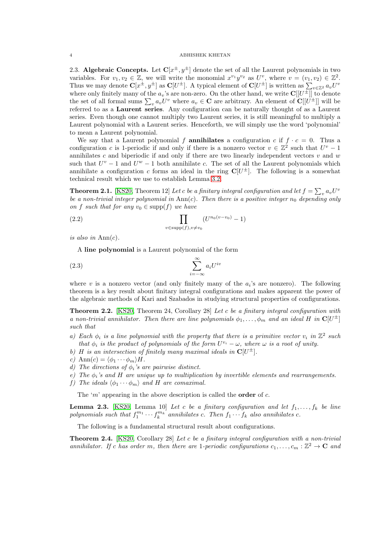<span id="page-3-0"></span>2.3. Algebraic Concepts. Let  $C[x^{\pm}, y^{\pm}]$  denote the set of all the Laurent polynomials in two variables. For  $v_1, v_2 \in \mathbb{Z}$ , we will write the monomial  $x^{v_1}y^{v_2}$  as  $U^v$ , where  $v = (v_1, v_2) \in \mathbb{Z}^2$ . Thus we may denote  $\mathbf{C}[x^{\pm}, y^{\pm}]$  as  $\mathbf{C}[U^{\pm}]$ . A typical element of  $\mathbf{C}[U^{\pm}]$  is written as  $\sum_{v \in \mathbb{Z}^2} a_v U^v$ where only finitely many of the  $a_v$ 's are non-zero. On the other hand, we write  $\mathbf{C}[[U^{\pm}]]$  to denote the set of all formal sums  $\sum_{v} a_v U^v$  where  $a_v \in \mathbf{C}$  are arbitrary. An element of  $\mathbf{C}[[U^{\pm}]]$  will be referred to as a Laurent series. Any configuration can be naturally thought of as a Laurent series. Even though one cannot multiply two Laurent series, it is still meaningful to multiply a Laurent polynomial with a Laurent series. Henceforth, we will simply use the word 'polynomial' to mean a Laurent polynomial.

We say that a Laurent polynomial f **annihilates** a configuration c if  $f \cdot c = 0$ . Thus a configuration c is 1-periodic if and only if there is a nonzero vector  $v \in \mathbb{Z}^2$  such that  $U^v - 1$ annihilates c and biperiodic if and only if there are two linearly independent vectors  $v$  and  $w$ such that  $U^v - 1$  and  $U^w - 1$  both annihilate c. The set of all the Laurent polynomials which annihilate a configuration c forms an ideal in the ring  $\mathbb{C}[U^{\pm}]$ . The following is a somewhat technical result which we use to establish Lemma [3.2.](#page-5-0)

<span id="page-3-3"></span>**Theorem 2.1.** [\[KS20,](#page-15-2) Theorem 12] Let c be a finitary integral configuration and let  $f = \sum_{v} a_v U^v$ be a non-trivial integer polynomial in  $\text{Ann}(c)$ . Then there is a positive integer  $n_0$  depending only on f such that for any  $v_0 \in \text{supp}(f)$  we have

$$
(2.2) \qquad \qquad \prod_{v \in \text{supp}(f), v \neq v_0} (U^{n_0(v-v_0)} - 1)
$$

is also in  $\text{Ann}(c)$ .

A line polynomial is a Laurent polynomial of the form

$$
(2.3) \qquad \qquad \sum_{i=-\infty}^{\infty} a_i U^{iv}
$$

where v is a nonzero vector (and only finitely many of the  $a_i$ 's are nonzero). The following theorem is a key result about finitary integral configurations and makes apparent the power of the algebraic methods of Kari and Szabados in studying structural properties of configurations.

<span id="page-3-1"></span>**Theorem 2.2.** [\[KS20,](#page-15-2) Theorem 24, Corollary 28] Let c be a finitary integral configuration with a non-trivial annihilator. Then there are line polynomials  $\phi_1, \ldots, \phi_m$  and an ideal H in  $\mathbb{C}[U^{\pm}]$ such that

- a) Each  $\phi_i$  is a line polynomial with the property that there is a primitive vector  $v_i$  in  $\mathbb{Z}^2$  such that  $\phi_i$  is the product of polynomials of the form  $U^{v_i} - \omega$ , where  $\omega$  is a root of unity.
- b) H is an intersection of finitely many maximal ideals in  $\mathbf{C}[U^{\pm}]$ .
- c)  $\text{Ann}(c) = \langle \phi_1 \cdots \phi_m \rangle H$ .
- d) The directions of  $\phi_i$ 's are pairwise distinct.
- e) The  $\phi_i$ 's and H are unique up to multiplication by invertible elements and rearrangements.
- f) The ideals  $\langle \phi_1 \cdots \phi_m \rangle$  and H are comaximal.

The 'm' appearing in the above description is called the **order** of  $c$ .

<span id="page-3-2"></span>**Lemma 2.3.** [\[KS20,](#page-15-2) Lemma 10] Let c be a finitary configuration and let  $f_1, \ldots, f_k$  be line polynomials such that  $f_1^{m_1} \cdots f_k^{m_k}$  annihilates c. Then  $f_1 \cdots f_k$  also annihilates c.

The following is a fundamental structural result about configurations.

<span id="page-3-4"></span>Theorem 2.4. [\[KS20,](#page-15-2) Corollary 28] Let c be a finitary integral configuration with a non-trivial annihilator. If c has order m, then there are 1-periodic configurations  $c_1, \ldots, c_m : \mathbb{Z}^2 \to \mathbb{C}$  and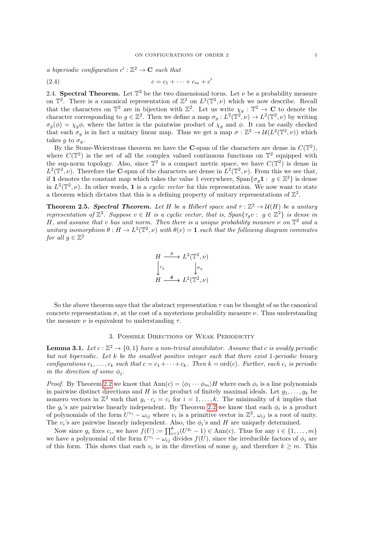a biperiodic configuration  $c':\mathbb{Z}^2\to\mathbf{C}$  such that

$$
(2.4) \t\t\t c = c_1 + \cdots + c_m + c'
$$

<span id="page-4-0"></span>2.4. Spectral Theorem. Let  $\mathbb{T}^2$  be the two dimensional torus. Let  $\nu$  be a probability measure on  $\mathbb{T}^2$ . There is a canonical representation of  $\mathbb{Z}^2$  on  $L^2(\mathbb{T}^2,\nu)$  which we now describe. Recall that the characters on  $\mathbb{T}^2$  are in bijection with  $\mathbb{Z}^2$ . Let us write  $\chi_g : \mathbb{T}^2 \to \mathbb{C}$  to denote the character corresponding to  $g \in \mathbb{Z}^2$ . Then we define a map  $\sigma_g: L^2(\mathbb{T}^2, \nu) \to L^2(\mathbb{T}^2, \nu)$  by writing  $\sigma_g(\phi) = \chi_g \phi$ , where the latter is the pointwise product of  $\chi_g$  and  $\phi$ . It can be easily checked that each  $\sigma_g$  is in fact a unitary linear map. Thus we get a map  $\sigma : \mathbb{Z}^2 \to \mathcal{U}(L^2(\mathbb{T}^2,\nu))$  which takes g to  $\sigma_q$ .

By the Stone-Weierstrass theorem we have the C-span of the characters are dense in  $C(\mathbb{T}^2)$ , where  $C(\mathbb{T}^2)$  is the set of all the complex valued continuous functions on  $\mathbb{T}^2$  equipped with the sup-norm topology. Also, since  $\mathbb{T}^2$  is a compact metric space, we have  $C(\mathbb{T}^2)$  is dense in  $L^2(\mathbb{T}^2,\nu)$ . Therefore the C-span of the characters are dense in  $L^2(\mathbb{T}^2,\nu)$ . From this we see that, if 1 denotes the constant map which takes the value 1 everywhere,  $\text{Span}\{\sigma_g 1: g \in \mathbb{Z}^2\}$  is dense in  $L^2(\mathbb{T}^2,\nu)$ . In other words, 1 is a cyclic vector for this representation. We now want to state a theorem which dictates that this is a defining property of unitary representations of  $\mathbb{Z}^2$ .

<span id="page-4-3"></span>**Theorem 2.5. Spectral Theorem.** Let H be a Hilbert space and  $\tau : \mathbb{Z}^2 \to \mathcal{U}(H)$  be a unitary representation of  $\mathbb{Z}^2$ . Suppose  $v \in H$  is a cyclic vector, that is,  $Span\{\tau_g v : g \in \mathbb{Z}^2\}$  is dense in H, and assume that v has unit norm. Then there is a unique probability measure  $\nu$  on  $\mathbb{T}^2$  and a unitary isomorphism  $\theta : H \to L^2(\mathbb{T}^2, \nu)$  with  $\theta(v) = \mathbf{1}$  such that the following diagram commutes for all  $g \in \mathbb{Z}^2$ 

$$
H \xrightarrow{\theta} L^2(\mathbb{T}^2, \nu)
$$

$$
\downarrow{\tau_g} \qquad \qquad \downarrow{\sigma_g}
$$

$$
H \xrightarrow{\theta} L^2(\mathbb{T}^2, \nu)
$$

So the above theorem says that the abstract representation  $\tau$  can be thought of as the canonical concrete representation  $\sigma$ , at the cost of a mysterious probability measure  $\nu$ . Thus understanding the measure  $\nu$  is equivalent to understanding  $\tau$ .

#### 3. Possible Directions of Weak Periodicity

<span id="page-4-2"></span><span id="page-4-1"></span>**Lemma 3.1.** Let  $c : \mathbb{Z}^2 \to \{0,1\}$  have a non-trivial annihilator. Assume that c is weakly periodic but not biperiodic. Let k be the smallest positive integer such that there exist 1-periodic binary configurations  $c_1, \ldots, c_k$  such that  $c = c_1 + \cdots + c_k$ . Then  $k = \text{ord}(c)$ . Further, each  $c_i$  is periodic in the direction of some  $\phi_i$ .

*Proof.* By Theorem [2.2](#page-3-1) we know that  $\text{Ann}(c) = \langle \phi_1 \cdots \phi_m \rangle H$  where each  $\phi_i$  is a line polynomials in pairwise distinct directions and H is the product of finitely maximal ideals. Let  $g_1, \ldots, g_k$  be nonzero vectors in  $\mathbb{Z}^2$  such that  $g_i \cdot c_i = c_i$  for  $i = 1, \ldots, k$ . The minimality of k implies that the  $g_i$ 's are pairwise linearly independent. By Theorem [2.2](#page-3-1) we know that each  $\phi_i$  is a product of polynomials of the form  $U^{v_i} - \omega_{ij}$  where  $v_i$  is a primitive vector in  $\mathbb{Z}^2$ ,  $\omega_{ij}$  is a root of unity. The  $v_i$ 's are pairwise linearly independent. Also, the  $\phi_i$ 's and H are uniquely determined.

Now since  $g_i$  fixes  $c_i$ , we have  $f(U) := \prod_{i=1}^k (U^{g_i} - 1) \in \text{Ann}(c)$ . Thus for any  $i \in \{1, ..., m\}$ we have a polynomial of the form  $U^{v_i} - \omega_{ij}$  divides  $f(U)$ , since the irreducible factors of  $\phi_i$  are of this form. This shows that each  $v_i$  is in the direction of some  $g_j$  and therefore  $k \geq m$ . This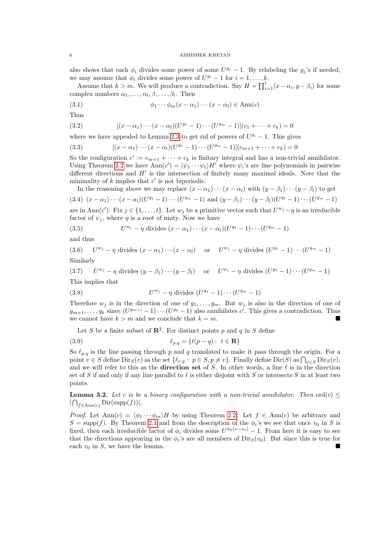also shows that each  $\phi_i$  divides some power of some  $U^{g_j} - 1$ . By relabeling the  $g_j$ 's if needed, we may assume that  $\phi_i$  divides some power of  $U^{g_i} - 1$  for  $i = 1, \ldots, k$ .

Assume that  $k > m$ . We will produce a contradiction. Say  $H = \prod_{i=1}^{l} \langle x - \alpha_i, y - \beta_i \rangle$  for some complex numbers  $\alpha_1, \ldots, \alpha_l, \beta, \ldots, \beta_l$ . Then

(3.1) 
$$
\phi_1 \cdots \phi_m (x - \alpha_1) \cdots (x - \alpha_l) \in \text{Ann}(c)
$$

Thus

(3.2) 
$$
[(x - \alpha_1) \cdots (x - \alpha_l)(U^{g_1} - 1) \cdots (U^{g_m} - 1)](c_1 + \cdots + c_k) = 0
$$

where we have appealed to Lemma [2.3](#page-3-2) to get rid of powers of  $U^{g_i} - 1$ . This gives

(3.3) 
$$
[(x - \alpha_1) \cdots (x - \alpha_l)(U^{g_1} - 1) \cdots (U^{g_m} - 1)](c_{m+1} + \cdots + c_k) = 0
$$

So the configuration  $c' := c_{m+1} + \cdots + c_k$  is finitary integral and has a non-trivial annihilator. Using Theorem [2.2](#page-3-1) we have  $\text{Ann}(c') = \langle \psi_1 \cdots \psi_t \rangle H'$  where  $\psi_i$ 's are line polynomials in pairwise different directions and  $H'$  is the intersection of finitely many maximal ideals. Note that the minimality of  $k$  implies that  $c'$  is not biperiodic.

In the reasoning above we may replace  $(x - \alpha_1) \cdots (x - \alpha_l)$  with  $(y - \beta_1) \cdots (y - \beta_l)$  to get (3.4)  $(x - \alpha_1) \cdots (x - \alpha_l) (U^{g_1} - 1) \cdots (U^{g_m} - 1)$  and  $(y - \beta_1) \cdots (y - \beta_l) (U^{g_1} - 1) \cdots (U^{g_m} - 1)$ 

are in Ann(c'). Fix  $j \in \{1, ..., t\}$ . Let  $w_j$  be a primitive vector such that  $U^{w_j} - \eta$  is an irreducible factor of  $\psi_i$ , where  $\eta$  is a root of unity. Now we have

(3.5) 
$$
U^{w_j} - \eta \text{ divides } (x - \alpha_1) \cdots (x - \alpha_l) (U^{g_1} - 1) \cdots (U^{g_m} - 1)
$$

and thus

 $(3.6)$  $w_j - \eta$  divides  $(x - \alpha_1) \cdots (x - \alpha_l)$  or  $U^{w_j} - \eta$  divides  $(U^{g_1} - 1) \cdots (U^{g_m} - 1)$ Similarly

 $(3.7)$  $w_j - \eta$  divides  $(y - \beta_1) \cdots (y - \beta_l)$  or  $U^{w_j} - \eta$  divides  $(U^{g_1} - 1) \cdots (U^{g_m} - 1)$ 

This implies that

$$
(3.8) \tU^{w_j} - \eta \text{ divides } (U^{g_1} - 1) \cdots (U^{g_m} - 1)
$$

Therefore  $w_j$  is in the direction of one of  $g_1, \ldots, g_m$ . But  $w_j$  is also in the direction of one of  $g_{m+1}, \ldots, g_k$  since  $(U^{g_{m+1}}-1)\cdots(U^{g_k}-1)$  also annihilates  $c'$ . This gives a contradiction. Thus we cannot have  $k > m$  and we conclude that  $k = m$ .

Let S be a finite subset of  $\mathbb{R}^2$ . For distinct points p and q in S define

(3.9) 
$$
\ell_{p,q} = \{t(p-q): t \in \mathbf{R}\}\
$$

So  $\ell_{p,q}$  is the line passing through p and q translated to make it pass through the origin. For a point  $v \in S$  define  $\text{Dir}_S(v)$  as the set  $\{\ell_{v,p}:\ p \in S, p \neq v\}$ . Finally define  $\text{Dir}(S)$  as  $\bigcap_{v \in S} \text{Dir}_S(v)$ , and we will refer to this as the **direction set** of S. In other words, a line  $\ell$  is in the direction set of S if and only if any line parallel to  $\ell$  is either disjoint with S or intersects S in at least two points.

<span id="page-5-0"></span>**Lemma 3.2.** Let c is be a binary configuration with a non-trivial annihilator. Then ord $(c) \leq$  $|\bigcap_{f \in \text{Ann}(c)} \text{Dir}(\text{supp}(f))|.$ 

*Proof.* Let  $\text{Ann}(c) = \langle \phi_1 \cdots \phi_m \rangle H$  by using Theorem [2.2.](#page-3-1) Let  $f \in \text{Ann}(c)$  be arbitrary and  $S = \text{supp}(f)$ . By Theorem [2.1](#page-3-3) and from the description of the  $\phi_i$ 's we see that once  $v_0$  in S is fixed, then each irreducible factor of  $\phi_i$  divides some  $U^{n_0(v-v_0)}-1$ . From here it is easy to see that the directions appearing in the  $\phi_i$ 's are all members of  $\text{Dir}_S(v_0)$ . But since this is true for each  $v_0$  in S, we have the lemma.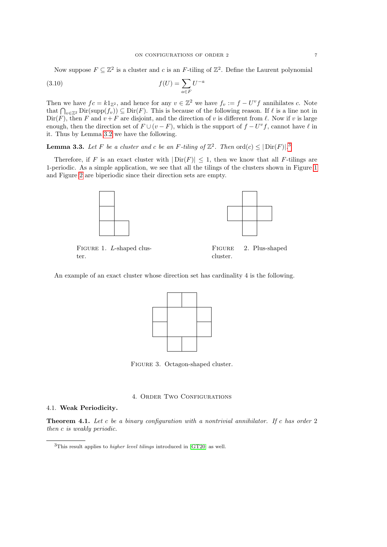Now suppose  $F \subseteq \mathbb{Z}^2$  is a cluster and c is an F-tiling of  $\mathbb{Z}^2$ . Define the Laurent polynomial

$$
(3.10)\qquad \qquad f(U) = \sum_{a \in F} U^{-a}
$$

Then we have  $fc = k1_{\mathbb{Z}^2}$ , and hence for any  $v \in \mathbb{Z}^2$  we have  $f_v := f - U^v f$  annihilates c. Note that  $\bigcap_{v\in\mathbb{Z}^2}$  Dir(supp $(f_v)$ )  $\subseteq$  Dir(F). This is because of the following reason. If  $\ell$  is a line not in  $Dir(F)$ , then F and  $v + F$  are disjoint, and the direction of v is different from  $\ell$ . Now if v is large enough, then the direction set of  $F \cup (v - F)$ , which is the support of  $f - U^{\nu}f$ , cannot have  $\ell$  in it. Thus by Lemma [3.2](#page-5-0) we have the following.

<span id="page-6-3"></span>**Lemma [3](#page-6-4).3.** Let F be a cluster and c be an F-tiling of  $\mathbb{Z}^2$ . Then  $\text{ord}(c) \leq |\text{Dir}(F)|^2$ .

<span id="page-6-5"></span>Therefore, if F is an exact cluster with  $|\text{Dir}(F)| \leq 1$ , then we know that all F-tilings are 1-periodic. As a simple application, we see that all the tilings of the clusters shown in Figure [1](#page-6-5) and Figure [2](#page-6-5) are biperiodic since their direction sets are empty.



FIGURE 1. L-shaped cluster.

Figure 2. Plus-shaped cluster.

An example of an exact cluster whose direction set has cardinality 4 is the following.



FIGURE 3. Octagon-shaped cluster.

## 4. ORDER TWO CONFIGURATIONS

# <span id="page-6-1"></span><span id="page-6-0"></span>4.1. Weak Periodicity.

<span id="page-6-2"></span>**Theorem 4.1.** Let c be a binary configuration with a nontrivial annihilator. If c has order 2 then c is weakly periodic.

<span id="page-6-4"></span> $3$ This result applies to *higher level tilings* introduced in [\[GT20\]](#page-15-6) as well.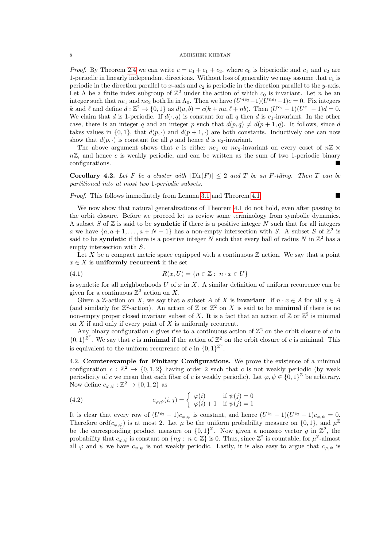*Proof.* By Theorem [2.4](#page-3-4) we can write  $c = c_0 + c_1 + c_2$ , where  $c_0$  is biperiodic and  $c_1$  and  $c_2$  are 1-periodic in linearly independent directions. Without loss of generality we may assume that  $c_1$  is periodic in the direction parallel to x-axis and  $c_2$  is periodic in the direction parallel to the y-axis. Let  $\Lambda$  be a finite index subgroup of  $\mathbb{Z}^2$  under the action of which  $c_0$  is invariant. Let n be an integer such that  $ne_1$  and  $ne_2$  both lie in  $\Lambda_0$ . Then we have  $(U^{ne_2}-1)(U^{ne_1}-1)c=0$ . Fix integers k and l and define  $d : \mathbb{Z}^2 \to \{0, 1\}$  as  $d(a, b) = c(k + na, \ell + nb)$ . Then  $(U^{e_2} - 1)(U^{e_1} - 1)d = 0$ . We claim that d is 1-periodic. If  $d(\cdot, q)$  is constant for all q then d is  $e_1$ -invariant. In the other case, there is an integer q and an integer p such that  $d(p,q) \neq d(p + 1, q)$ . It follows, since d takes values in  $\{0,1\}$ , that  $d(p, \cdot)$  and  $d(p+1, \cdot)$  are both constants. Inductively one can now show that  $d(p, \cdot)$  is constant for all p and hence d is e<sub>2</sub>-invariant.

The above argument shows that c is either  $ne_1$  or  $ne_2$ -invariant on every coset of  $n\mathbb{Z} \times$  $n\mathbb{Z}$ , and hence c is weakly periodic, and can be written as the sum of two 1-periodic binary configurations.

<span id="page-7-1"></span>Corollary 4.2. Let F be a cluster with  $|\text{Dir}(F)| \leq 2$  and T be an F-tiling. Then T can be partitioned into at most two 1-periodic subsets.

Proof. This follows immediately from Lemma [3.1](#page-4-2) and Theorem [4.1.](#page-6-2)

We now show that natural generalizations of Theorem [4.1](#page-6-2) do not hold, even after passing to the orbit closure. Before we proceed let us review some terminology from symbolic dynamics. A subset S of  $\mathbb Z$  is said to be **syndetic** if there is a positive integer N such that for all integers a we have  $\{a, a+1, \ldots, a+N-1\}$  has a non-empty intersection with S. A subset S of  $\mathbb{Z}^2$  is said to be **syndetic** if there is a positive integer N such that every ball of radius N in  $\mathbb{Z}^2$  has a empty intersection with S.

Let X be a compact metric space equipped with a continuous  $\mathbb Z$  action. We say that a point  $x \in X$  is uniformly recurrent if the set

$$
(4.1) \quad R(x,U) = \{n \in \mathbb{Z} : n \cdot x \in U\}
$$

is syndetic for all neighborhoods  $U$  of  $x$  in  $X$ . A similar definition of uniform recurrence can be given for a continuous  $\mathbb{Z}^2$  action on X.

Given a Z-action on X, we say that a subset A of X is **invariant** if  $n \cdot x \in A$  for all  $x \in A$ (and similarly for  $\mathbb{Z}^2$ -action). An action of  $\mathbb{Z}$  or  $\mathbb{Z}^2$  on X is said to be **minimal** if there is no non-empty proper closed invariant subset of X. It is a fact that an action of  $\mathbb{Z}$  or  $\mathbb{Z}^2$  is minimal on  $X$  if and only if every point of  $X$  is uniformly recurrent.

Any binary configuration c gives rise to a continuous action of  $\mathbb{Z}^2$  on the orbit closure of c in  ${0,1}^{\mathbb{Z}^2}$ . We say that c is **minimal** if the action of  $\mathbb{Z}^2$  on the orbit closure of c is minimal. This is equivalent to the uniform recurrence of c in  $\{0,1\}^{\mathbb{Z}^2}$ .

<span id="page-7-0"></span>4.2. Counterexample for Finitary Configurations. We prove the existence of a minimal configuration  $c: \mathbb{Z}^2 \to \{0,1,2\}$  having order 2 such that c is not weakly periodic (by weak periodicity of c we mean that each fiber of c is weakly periodic). Let  $\varphi, \psi \in \{0,1\}^{\mathbb{Z}}$  be arbitrary. Now define  $c_{\varphi,\psi} : \mathbb{Z}^2 \to \{0,1,2\}$  as

(4.2) 
$$
c_{\varphi,\psi}(i,j) = \begin{cases} \varphi(i) & \text{if } \psi(j) = 0\\ \varphi(i) + 1 & \text{if } \psi(j) = 1 \end{cases}
$$

It is clear that every row of  $(U^{e_2}-1)c_{\varphi,\psi}$  is constant, and hence  $(U^{e_1}-1)(U^{e_2}-1)c_{\varphi,\psi}=0$ . Therefore ord $(c_{\varphi,\psi})$  is at most 2. Let  $\mu$  be the uniform probability measure on  $\{0,1\}$ , and  $\mu^{\mathbb{Z}}$ be the corresponding product measure on  $\{0,1\}^{\mathbb{Z}}$ . Now given a nonzero vector g in  $\mathbb{Z}^2$ , the probability that  $c_{\varphi,\psi}$  is constant on  $\{ng : n \in \mathbb{Z}\}\$ is 0. Thus, since  $\mathbb{Z}^2$  is countable, for  $\mu^{\mathbb{Z}}$ -almost all  $\varphi$  and  $\psi$  we have  $c_{\varphi,\psi}$  is not weakly periodic. Lastly, it is also easy to argue that  $c_{\varphi,\psi}$  is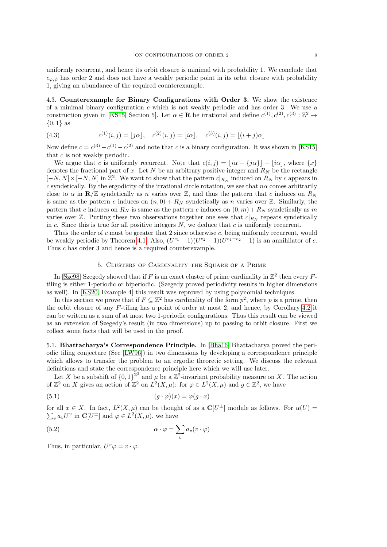uniformly recurrent, and hence its orbit closure is minimal with probability 1. We conclude that  $c_{\varphi,\psi}$  has order 2 and does not have a weakly periodic point in its orbit closure with probability 1, giving an abundance of the required counterexample.

<span id="page-8-0"></span>4.3. Counterexample for Binary Configurations with Order 3. We show the existence of a minimal binary configuration  $c$  which is not weakly periodic and has order 3. We use a construction given in [\[KS15,](#page-15-7) Section 5]. Let  $\alpha \in \mathbf{R}$  be irrational and define  $c^{(1)}, c^{(2)}, c^{(3)} : \mathbb{Z}^2 \to$  $\{0,1\}$  as

(4.3) 
$$
c^{(1)}(i,j) = \lfloor j\alpha \rfloor, \quad c^{(2)}(i,j) = \lfloor i\alpha \rfloor, \quad c^{(3)}(i,j) = \lfloor (i+j)\alpha \rfloor
$$

Now define  $c = c^{(3)} - c^{(1)} - c^{(2)}$  and note that c is a binary configuration. It was shown in [\[KS15\]](#page-15-7) that c is not weakly periodic.

We argue that c is uniformly recurrent. Note that  $c(i, j) = |i\alpha + \{j\alpha\}| - |i\alpha|$ , where  $\{x\}$ denotes the fractional part of x. Let N be an arbitrary positive integer and  $R_N$  be the rectangle  $[-N, N] \times [-N, N]$  in  $\mathbb{Z}^2$ . We want to show that the pattern  $c|_{R_N}$  induced on  $R_N$  by c appears in c syndetically. By the ergodicity of the irrational circle rotation, we see that  $n\alpha$  comes arbitrarily close to  $\alpha$  in  $\mathbb{R}/\mathbb{Z}$  syndetically as n varies over  $\mathbb{Z}$ , and thus the pattern that c induces on  $R_N$ is same as the pattern c induces on  $(n, 0) + R_N$  syndetically as n varies over Z. Similarly, the pattern that c induces on  $R_N$  is same as the pattern c induces on  $(0, m) + R_N$  syndetically as m varies over  $\mathbb{Z}$ . Putting these two observations together one sees that  $c|_{R_N}$  repeats syndetically in  $c$ . Since this is true for all positive integers  $N$ , we deduce that  $c$  is uniformly recurrent.

Thus the order of c must be greater that 2 since otherwise c, being uniformly recurrent, would be weakly periodic by Theorem [4.1.](#page-6-2) Also,  $(U^{e_1}-1)(U^{e_2}-1)(U^{e_1-e_2}-1)$  is an annihilator of c. Thus c has order 3 and hence is a required counterexample.

# 5. Clusters of Cardinality the Square of a Prime

<span id="page-8-1"></span>In [\[Sze98\]](#page-15-8) Szegedy showed that if F is an exact cluster of prime cardinality in  $\mathbb{Z}^2$  then every Ftiling is either 1-periodic or biperiodic. (Szegedy proved periodicity results in higher dimensions as well). In [\[KS20,](#page-15-2) Example 4] this result was reproved by using polynomial techniques.

In this section we prove that if  $F \subseteq \mathbb{Z}^2$  has cardinality of the form  $p^2$ , where p is a prime, then the orbit closure of any F-tiling has a point of order at most 2, and hence, by Corollary [4.2](#page-7-1) it can be written as a sum of at most two 1-periodic configurations. Thus this result can be viewed as an extension of Szegedy's result (in two dimensions) up to passing to orbit closure. First we collect some facts that will be used in the proof.

<span id="page-8-2"></span>5.1. Bhattacharya's Correspondence Principle. In [\[Bha16\]](#page-15-5) Bhattacharya proved the periodic tiling conjecture (See [\[LW96\]](#page-15-9)) in two dimensions by developing a correspondence principle which allows to transfer the problem to an ergodic theoretic setting. We discuss the relevant definitions and state the correspondence principle here which we will use later.

Let X be a subshift of  ${0,1}^{\mathbb{Z}^2}$  and  $\mu$  be a  $\mathbb{Z}^2$ -invariant probability measure on X. The action of  $\mathbb{Z}^2$  on X gives an action of  $\mathbb{Z}^2$  on  $L^2(X,\mu)$ : for  $\varphi \in L^2(X,\mu)$  and  $g \in \mathbb{Z}^2$ , we have

(5.1) 
$$
(g \cdot \varphi)(x) = \varphi(g \cdot x)
$$

for all  $x \in X$ . In fact,  $L^2(X, \mu)$  can be thought of as a  $\mathbb{C}[U^{\pm}]$  module as follows. For  $\alpha(U)$  $\sum_{v} a_{v} U^{v}$  in  $\mathbf{C}[U^{\pm}]$  and  $\varphi \in L^{2}(X, \mu)$ , we have

(5.2) 
$$
\alpha \cdot \varphi = \sum_{v} a_v (v \cdot \varphi)
$$

Thus, in particular,  $U^v \varphi = v \cdot \varphi$ .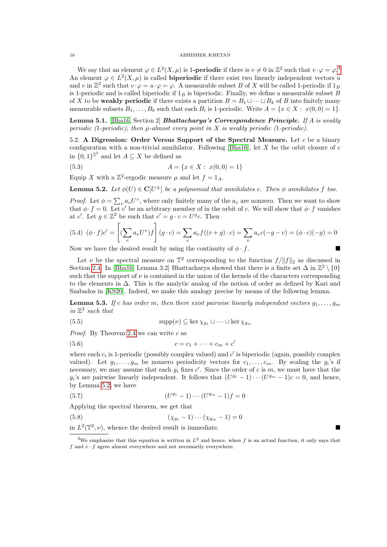We say that an element  $\varphi \in L^2(X, \mu)$  is 1**-periodic** if there is  $v \neq 0$  in  $\mathbb{Z}^2$  such that  $v \cdot \varphi = \varphi^A$ . An element  $\varphi \in L^2(X, \mu)$  is called **biperiodic** if there exist two linearly independent vectors u and v in  $\mathbb{Z}^2$  such that  $v \cdot \varphi = u \cdot \varphi = \varphi$ . A measurable subset B of X will be called 1-periodic if  $1_B$ is 1-periodic and is called biperiodic if  $1_B$  is biperiodic. Finally, we define a measurable subset B of X to be weakly periodic if there exists a partition  $B = B_1 \sqcup \cdots \sqcup B_k$  of B into finitely many measurable subsets  $B_1, \ldots, B_k$  such that each  $B_i$  is 1-periodic. Write  $A = \{x \in X : x(0,0) = 1\}.$ 

<span id="page-9-4"></span>**Lemma 5.1.** [\[Bha16,](#page-15-5) Section 2] **Bhattacharya's Correspondence Principle.** If A is weakly periodic (1-periodic), then  $\mu$ -almost every point in X is weakly periodic (1-periodic).

<span id="page-9-0"></span>5.2. A Digression: Order Versus Support of the Spectral Measure. Let  $c$  be a binary configuration with a non-trivial annihilator. Following [\[Bha16\]](#page-15-5), let  $X$  be the orbit closure of  $c$ in  $\{0,1\}^{\mathbb{Z}^2}$  and let  $A \subseteq X$  be defined as

$$
(5.3) \t\t A = \{x \in X : x(0,0) = 1\}
$$

Equip X with a  $\mathbb{Z}^2$ -ergodic measure  $\mu$  and let  $f = 1_A$ .

<span id="page-9-2"></span>**Lemma 5.2.** Let  $\phi(U) \in \mathbb{C}[U^{\pm}]$  be a polynomial that annihilates c. Then  $\phi$  annihilates f too.

*Proof.* Let  $\phi = \sum_{v} a_v U^v$ , where only finitely many of the  $a_v$  are nonzero. Then we want to show that  $\phi \cdot f = 0$ . Let c' be an arbitrary member of in the orbit of c. We will show that  $\phi \cdot f$  vanishes at c'. Let  $g \in \mathbb{Z}^2$  be such that  $c' = g \cdot c = U^g c$ . Then

(5.4) 
$$
(\phi \cdot f)c' = \left[ (\sum_v a_v U^v) f \right](g \cdot c) = \sum_v a_v f((v+g) \cdot c) = \sum_v a_v c(-g-v) = (\phi \cdot c)(-g) = 0
$$
  
\nNow we have the desired result by using the continuity of  $\phi$ ,  $f$ .

Now we have the desired result by using the continuity of  $\phi \cdot f$ .

Let  $\nu$  be the spectral measure on  $\mathbb{T}^2$  corresponding to the function  $f/||f||_2$  as discussed in Section [2.4.](#page-4-0) In [\[Bha16,](#page-15-5) Lemma 3.2] Bhattacharya showed that there is a finite set  $\Delta$  in  $\mathbb{Z}^2 \setminus \{0\}$ such that the support of  $\nu$  is contained in the union of the kernels of the characters corresponding to the elements in  $\Delta$ . This is the analytic analog of the notion of order as defined by Kari and Szabados in [\[KS20\]](#page-15-2). Indeed, we make this analogy precise by means of the following lemma.

<span id="page-9-3"></span>**Lemma 5.3.** If c has order m, then there exist pairwise linearly independent vectors  $q_1, \ldots, q_m$ in  $\mathbb{Z}^2$  such that

(5.5) 
$$
\text{supp}(\nu) \subseteq \ker \chi_{g_1} \cup \dots \cup \ker \chi_{g_m}
$$

*Proof.* By Theorem [2.4](#page-3-4) we can write  $c$  as

$$
(5.6) \qquad \qquad c = c_1 + \dots + c_m + c'
$$

where each  $c_i$  is 1-periodic (possibly complex valued) and  $c'$  is biperiodic (again, possibly complex valued). Let  $g_1, \ldots, g_m$  be nonzero periodicity vectors for  $c_1, \ldots, c_m$ . By scaling the  $g_i$ 's if necessary, we may assume that each  $g_i$  fixes  $c'$ . Since the order of c is m, we must have that the  $g_i$ 's are pairwise linearly independent. It follows that  $(U^{g_1}-1)\cdots(U^{g_m}-1)c=0$ , and hence, by Lemma [5.2,](#page-9-2) we have

(5.7) 
$$
(U^{g_1} - 1) \cdots (U^{g_m} - 1)f = 0
$$

Applying the spectral theorem, we get that

(5.8)  $(\chi_{g_1} - 1) \cdots (\chi_{g_m} - 1) = 0$ 

in  $L^2(\mathbb{T}^2, \nu)$ , whence the desired result is immediate.

<span id="page-9-1"></span><sup>&</sup>lt;sup>4</sup>We emphasize that this equation is written in  $L^2$  and hence, when f is an actual function, it only says that f and  $v \cdot f$  agree almost everywhere and not necessarily everywhere.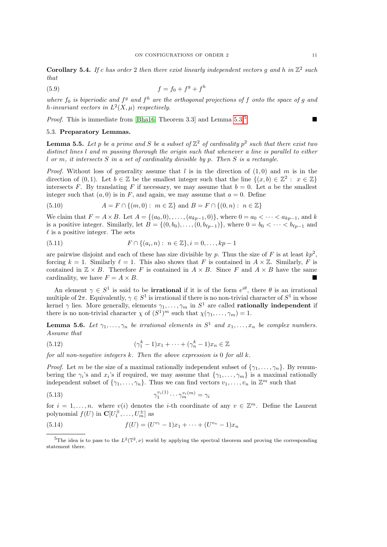**Corollary 5.4.** If c has order 2 then there exist linearly independent vectors g and h in  $\mathbb{Z}^2$  such that

(5.9) 
$$
f = f_0 + f^g + f^h
$$

where  $f_0$  is biperiodic and  $f^g$  and  $f^h$  are the orthogonal projections of f onto the space of g and h-invariant vectors in  $L^2(X,\mu)$  respectively.

*Proof.* This is immediate from [\[Bha16,](#page-15-5) Theorem 3.3] and Lemma [5.3.](#page-9-3)<sup>[5](#page-10-1)</sup>

# <span id="page-10-0"></span>5.3. Preparatory Lemmas.

<span id="page-10-2"></span>**Lemma 5.5.** Let p be a prime and S be a subset of  $\mathbb{Z}^2$  of cardinality  $p^2$  such that there exist two distinct lines l and m passing thorough the origin such that whenever a line is parallel to either  $l$  or  $m$ , it intersects  $S$  in a set of cardinality divisible by  $p$ . Then  $S$  is a rectangle.

*Proof.* Without loss of generality assume that l is in the direction of  $(1, 0)$  and m is in the direction of  $(0,1)$ . Let  $b \in \mathbb{Z}$  be the smallest integer such that the line  $\{(x, b) \in \mathbb{Z}^2 : x \in \mathbb{Z}\}\$ intersects F. By translating F if necessary, we may assume that  $b = 0$ . Let a be the smallest integer such that  $(a, 0)$  is in F, and again, we may assume that  $a = 0$ . Define

(5.10) 
$$
A = F \cap \{(m, 0) : m \in \mathbb{Z}\} \text{ and } B = F \cap \{(0, n) : n \in \mathbb{Z}\}\
$$

We claim that  $F = A \times B$ . Let  $A = \{(a_0, 0), \ldots, (a_{kp-1}, 0)\}\)$ , where  $0 = a_0 < \cdots < a_{kp-1}$ , and k is a positive integer. Similarly, let  $B = \{(0, b_0), \ldots, (0, b_{\ell p-1})\}$ , where  $0 = b_0 < \cdots < b_{\ell p-1}$  and  $\ell$  is a positive integer. The sets

(5.11) 
$$
F \cap \{(a_i, n): n \in \mathbb{Z}\}, i = 0, \dots, kp - 1
$$

are pairwise disjoint and each of these has size divisible by p. Thus the size of F is at least  $kp^2$ , forcing  $k = 1$ . Similarly  $\ell = 1$ . This also shows that F is contained in  $A \times \mathbb{Z}$ . Similarly, F is contained in  $\mathbb{Z} \times B$ . Therefore F is contained in  $A \times B$ . Since F and  $A \times B$  have the same cardinality, we have  $F = A \times B$ .

An element  $\gamma \in S^1$  is said to be **irrational** if it is of the form  $e^{i\theta}$ , there  $\theta$  is an irrational multiple of  $2\pi$ . Equivalently,  $\gamma \in S^1$  is irrational if there is no non-trivial character of  $S^1$  in whose kernel  $\gamma$  lies. More generally, elements  $\gamma_1, \ldots, \gamma_m$  in  $S^1$  are called **rationally independent** if there is no non-trivial character  $\chi$  of  $(S^1)^m$  such that  $\chi(\gamma_1, \ldots, \gamma_m) = 1$ .

<span id="page-10-3"></span>**Lemma 5.6.** Let  $\gamma_1, \ldots, \gamma_n$  be irrational elements in  $S^1$  and  $x_1, \ldots, x_n$  be complex numbers. Assume that

(5.12) 
$$
(\gamma_1^k - 1)x_1 + \cdots + (\gamma_n^k - 1)x_n \in \mathbb{Z}
$$

for all non-negative integers  $k$ . Then the above expression is 0 for all  $k$ .

*Proof.* Let m be the size of a maximal rationally independent subset of  $\{\gamma_1, \ldots, \gamma_n\}$ . By renumbering the  $\gamma_i$ 's and  $x_i$ 's if required, we may assume that  $\{\gamma_1, \ldots, \gamma_m\}$  is a maximal rationally independent subset of  $\{\gamma_1,\ldots,\gamma_n\}$ . Thus we can find vectors  $v_1,\ldots,v_n$  in  $\mathbb{Z}^m$  such that

(5.13) 
$$
\gamma_1^{v_i(1)} \cdots \gamma_m^{v_i(m)} = \gamma_i
$$

for  $i = 1, \ldots, n$ . where  $v(i)$  denotes the *i*-th coordinate of any  $v \in \mathbb{Z}^m$ . Define the Laurent polynomial  $f(U)$  in  $\mathbf{C}[U_1^{\pm}, \dots, U_m^{\pm}]$  as

(5.14) 
$$
f(U) = (U^{v_1} - 1)x_1 + \dots + (U^{v_n} - 1)x_n
$$

<span id="page-10-1"></span><sup>&</sup>lt;sup>5</sup>The idea is to pass to the  $L^2(\mathbb{T}^2, \nu)$  world by applying the spectral theorem and proving the corresponding statement there.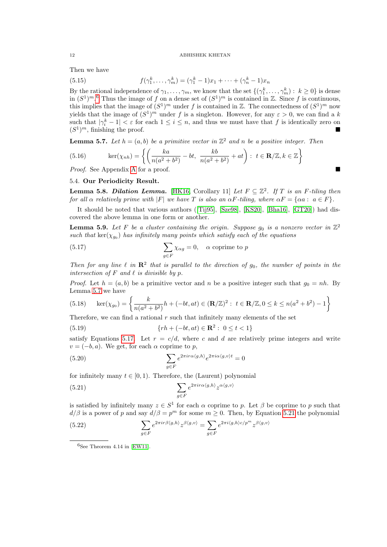Then we have

(5.15) 
$$
f(\gamma_1^k, ..., \gamma_m^k) = (\gamma_1^k - 1)x_1 + ... + (\gamma_n^k - 1)x_n
$$

By the rational independence of  $\gamma_1, \ldots, \gamma_m$ , we know that the set  $\{(\gamma_1^k, \ldots, \gamma_m^k): k \geq 0\}$  is dense in  $(S^1)^m$ .<sup>[6](#page-11-1)</sup> Thus the image of f on a dense set of  $(S^1)^m$  is contained in Z. Since f is continuous, this implies that the image of  $(S^1)^m$  under f is contained in Z. The connectedness of  $(S^1)^m$  now yields that the image of  $(S^1)^m$  under f is a singleton. However, for any  $\varepsilon > 0$ , we can find a k such that  $|\gamma_i^k - 1| < \varepsilon$  for each  $1 \leq i \leq n$ , and thus we must have that f is identically zero on  $(S<sup>1</sup>)<sup>m</sup>$ , finishing the proof.

<span id="page-11-2"></span>**Lemma 5.7.** Let  $h = (a, b)$  be a primitive vector in  $\mathbb{Z}^2$  and n be a positive integer. Then

(5.16) 
$$
\ker(\chi_{nh}) = \left\{ \left( \frac{ka}{n(a^2 + b^2)} - bt, \frac{kb}{n(a^2 + b^2)} + at \right) : t \in \mathbb{R}/\mathbb{Z}, k \in \mathbb{Z} \right\}
$$

Proof. See Appendix [A](#page-14-0) for a proof.

# <span id="page-11-0"></span>5.4. Our Periodicity Result.

<span id="page-11-6"></span>**Lemma 5.8. Dilation Lemma.** [\[HK16,](#page-15-10) Corollary 11] Let  $F \subseteq \mathbb{Z}^2$ . If T is an F-tiling then for all  $\alpha$  relatively prime with |F| we have T is also an  $\alpha F$ -tiling, where  $\alpha F = {\alpha a : a \in F}$ .

It should be noted that various authors ([\[Tij95\]](#page-15-11), [\[Sze98\]](#page-15-8), [\[KS20\]](#page-15-2), [\[Bha16\]](#page-15-5), [\[GT20\]](#page-15-6)) had discovered the above lemma in one form or another.

<span id="page-11-5"></span>**Lemma 5.9.** Let F be a cluster containing the origin. Suppose  $g_0$  is a nonzero vector in  $\mathbb{Z}^2$ such that  $\ker(\chi_{g_0})$  has infinitely many points which satisfy each of the equations

<span id="page-11-3"></span>(5.17) 
$$
\sum_{g \in F} \chi_{\alpha g} = 0, \quad \alpha \text{ coprime to } p
$$

Then for any line  $\ell$  in  $\mathbb{R}^2$  that is parallel to the direction of  $g_0$ , the number of points in the intersection of  $F$  and  $\ell$  is divisible by  $p$ .

*Proof.* Let  $h = (a, b)$  be a primitive vector and n be a positive integer such that  $g_0 = nh$ . By Lemma [5.7](#page-11-2) we have

(5.18) 
$$
\ker(\chi_{g_0}) = \left\{ \frac{k}{n(a^2 + b^2)} h + (-bt, at) \in (\mathbf{R}/\mathbb{Z})^2 : t \in \mathbf{R}/\mathbb{Z}, 0 \le k \le n(a^2 + b^2) - 1 \right\}
$$

Therefore, we can find a rational  $r$  such that infinitely many elements of the set

(5.19) 
$$
\{rh + (-bt, at) \in \mathbf{R}^2 : 0 \le t < 1\}
$$

satisfy Equations [5.17.](#page-11-3) Let  $r = c/d$ , where c and d are relatively prime integers and write  $v = (-b, a)$ . We get, for each  $\alpha$  coprime to p,

(5.20) 
$$
\sum_{g \in F} e^{2\pi i r \alpha \langle g, h \rangle} e^{2\pi i \alpha \langle g, v \rangle t} = 0
$$

for infinitely many  $t \in [0, 1)$ . Therefore, the (Laurent) polynomial

<span id="page-11-4"></span>(5.21) 
$$
\sum_{g \in F} e^{2\pi i r \alpha \langle g, h \rangle} z^{\alpha \langle g, v \rangle}
$$

is satisfied by infinitely many  $z \in S^1$  for each  $\alpha$  coprime to p. Let  $\beta$  be coprime to p such that  $d/\beta$  is a power of p and say  $d/\beta = p^m$  for some  $m \ge 0$ . Then, by Equation [5.21](#page-11-4) the polynomial

(5.22) 
$$
\sum_{g \in F} e^{2\pi i r \beta \langle g, h \rangle} z^{\beta \langle g, v \rangle} = \sum_{g \in F} e^{2\pi i \langle g, h \rangle c / p^m} z^{\beta \langle g, v \rangle}
$$

<span id="page-11-1"></span> ${}^{6}$ See Theorem 4.14 in [\[EW11\]](#page-15-12).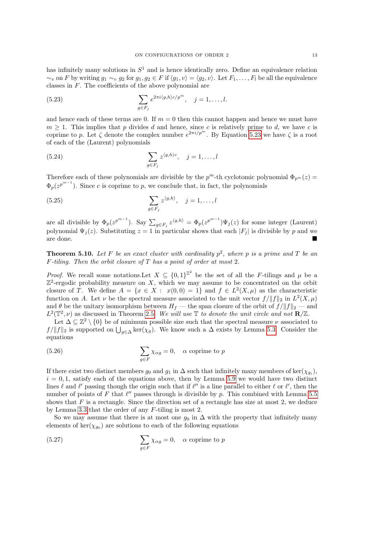has infinitely many solutions in  $S<sup>1</sup>$  and is hence identically zero. Define an equivalence relation  $\sim_v$  on F by writing  $g_1 \sim_v g_2$  for  $g_1, g_2 \in F$  if  $\langle g_1, v \rangle = \langle g_2, v \rangle$ . Let  $F_1, \ldots, F_l$  be all the equivalence classes in F. The coefficients of the above polynomial are

<span id="page-12-1"></span>(5.23) 
$$
\sum_{g \in F_j} e^{2\pi i \langle g, h \rangle c/p^m}, \quad j = 1, \dots, l.
$$

and hence each of these terms are 0. If  $m = 0$  then this cannot happen and hence we must have  $m \geq 1$ . This implies that p divides d and hence, since c is relatively prime to d, we have c is coprime to p. Let  $\zeta$  denote the complex number  $e^{2\pi i/p^m}$ . By Equation [5.23](#page-12-1) we have  $\zeta$  is a root of each of the (Laurent) polynomials

(5.24) 
$$
\sum_{g \in F_j} z^{\langle g, h \rangle c}, \quad j = 1, ..., l
$$

Therefore each of these polynomials are divisible by the  $p^m$ -th cyclotomic polynomial  $\Phi_{p^m}(z)$  $\Phi_p(z^{p^{m-1}})$ . Since c is coprime to p, we conclude that, in fact, the polynomials

(5.25) 
$$
\sum_{g \in F_j} z^{\langle g, h \rangle}, \quad j = 1, \dots, l
$$

are all divisible by  $\Phi_p(z^{p^{m-1}})$ . Say  $\sum_{g \in F_j} z^{\langle g,h \rangle} = \Phi_p(z^{p^{m-1}}) \Psi_j(z)$  for some integer (Laurent) polynomial  $\Psi_i(z)$ . Substituting  $z = 1$  in particular shows that each  $|F_i|$  is divisible by p and we are done.

<span id="page-12-0"></span>**Theorem 5.10.** Let F be an exact cluster with cardinality  $p^2$ , where p is a prime and T be an  $F\text{-}tilina.$  Then the orbit closure of T has a point of order at most 2.

*Proof.* We recall some notations. Let  $X \subseteq \{0,1\}^{\mathbb{Z}^2}$  be the set of all the F-tilings and  $\mu$  be a  $\mathbb{Z}^2$ -ergodic probability measure on X, which we may assume to be concentrated on the orbit closure of T. We define  $A = \{x \in X : x(0,0) = 1\}$  and  $f \in L^2(X,\mu)$  as the characteristic function on A. Let  $\nu$  be the spectral measure associated to the unit vector  $f/\|f\|_2$  in  $L^2(X,\mu)$ and  $\theta$  be the unitary isomorphism between  $H_f$  — the span closure of the orbit of  $f/\|f\|_2$  — and  $L^2(\mathbb{T}^2,\nu)$  as discussed in Theorem [2.5.](#page-4-3) We will use  $\mathbb{T}$  to denote the unit circle and not  $\mathbb{R}/\mathbb{Z}$ .

Let  $\Delta \subseteq \mathbb{Z}^2 \setminus \{0\}$  be of minimum possible size such that the spectral measure  $\nu$  associated to  $f/\|f\|_2$  is supported on  $\bigcup_{g\in\Delta}\ker(\chi_g)$ . We know such a  $\Delta$  exists by Lemma [5.3.](#page-9-3) Consider the equations

(5.26) 
$$
\sum_{g \in F} \chi_{\alpha g} = 0, \quad \alpha \text{ coprime to } p
$$

If there exist two distinct members  $g_0$  and  $g_1$  in  $\Delta$  such that infinitely many members of ker $(\chi_{g_i})$ ,  $i = 0, 1$ , satisfy each of the equations above, then by Lemma [5.9](#page-11-5) we would have two distinct lines  $\ell$  and  $\ell'$  passing though the origin such that if  $\ell''$  is a line parallel to either  $\ell$  or  $\ell'$ , then the number of points of F that  $\ell''$  passes through is divisible by p. This combined with Lemma [5.5](#page-10-2) shows that  $F$  is a rectangle. Since the direction set of a rectangle has size at most 2, we deduce by Lemma [3.3](#page-6-3) that the order of any F-tiling is most 2.

So we may assume that there is at most one  $g_0$  in  $\Delta$  with the property that infinitely many elements of  $\ker(\chi_{g_0})$  are solutions to each of the following equations

(5.27) 
$$
\sum_{g \in F} \chi_{\alpha g} = 0, \quad \alpha \text{ coprime to } p
$$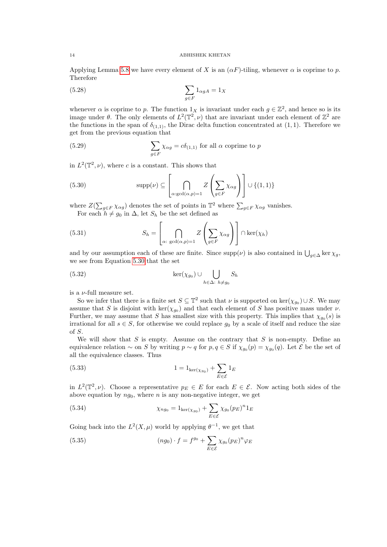Applying Lemma [5.8](#page-11-6) we have every element of X is an  $(\alpha F)$ -tiling, whenever  $\alpha$  is coprime to p. Therefore

$$
\sum_{g \in F} 1_{\alpha gA} = 1_X
$$

whenever  $\alpha$  is coprime to p. The function  $1_X$  is invariant under each  $g \in \mathbb{Z}^2$ , and hence so is its image under  $\theta$ . The only elements of  $L^2(\mathbb{T}^2, \nu)$  that are invariant under each element of  $\mathbb{Z}^2$  are the functions in the span of  $\delta_{(1,1)}$ , the Dirac delta function concentrated at  $(1,1)$ . Therefore we get from the previous equation that

(5.29) 
$$
\sum_{g \in F} \chi_{\alpha g} = c \delta_{(1,1)} \text{ for all } \alpha \text{ coprime to } p
$$

in  $L^2(\mathbb{T}^2,\nu)$ , where c is a constant. This shows that

<span id="page-13-0"></span>(5.30) 
$$
\text{supp}(\nu) \subseteq \left[\bigcap_{\alpha:\text{gcd}(\alpha,p)=1} Z\left(\sum_{g\in F} \chi_{\alpha g}\right)\right] \cup \{(1,1)\}
$$

where  $Z(\sum_{g\in F}\chi_{\alpha g})$  denotes the set of points in  $\mathbb{T}^2$  where  $\sum_{g\in F}\chi_{\alpha g}$  vanishes. For each  $h \neq g_0$  in  $\Delta$ , let  $S_h$  be the set defined as

(5.31) 
$$
S_h = \left[\bigcap_{\alpha: \text{ gcd}(\alpha, p) = 1} Z\left(\sum_{g \in F} \chi_{\alpha g}\right)\right] \cap \ker(\chi_h)
$$

and by our assumption each of these are finite. Since  $\supp(\nu)$  is also contained in  $\bigcup_{g\in\Delta}\ker\chi_g$ , we see from Equation [5.30](#page-13-0) that the set

(5.32) 
$$
\ker(\chi_{g_0}) \cup \bigcup_{h \in \Delta: h \neq g_0} S_h
$$

is a  $\nu$ -full measure set.

So we infer that there is a finite set  $S \subseteq \mathbb{T}^2$  such that  $\nu$  is supported on ker $(\chi_{g_0}) \cup S$ . We may assume that S is disjoint with  $\ker(\chi_{g_0})$  and that each element of S has positive mass under  $\nu$ . Further, we may assume that S has smallest size with this property. This implies that  $\chi_{g_0}(s)$  is irrational for all  $s \in S$ , for otherwise we could replace  $q_0$  by a scale of itself and reduce the size of S.

We will show that  $S$  is empty. Assume on the contrary that  $S$  is non-empty. Define an equivalence relation  $\sim$  on S by writing  $p \sim q$  for  $p, q \in S$  if  $\chi_{g_0}(p) = \chi_{g_0}(q)$ . Let E be the set of all the equivalence classes. Thus

(5.33) 
$$
1 = 1_{\ker(\chi_{g_0})} + \sum_{E \in \mathcal{E}} 1_E
$$

in  $L^2(\mathbb{T}^2, \nu)$ . Choose a representative  $p_E \in E$  for each  $E \in \mathcal{E}$ . Now acting both sides of the above equation by  $ng_0$ , where n is any non-negative integer, we get

(5.34) 
$$
\chi_{ng_0} = 1_{\ker(\chi_{g_0})} + \sum_{E \in \mathcal{E}} \chi_{g_0}(p_E)^n 1_E
$$

Going back into the  $L^2(X,\mu)$  world by applying  $\theta^{-1}$ , we get that

(5.35) 
$$
(ng_0) \cdot f = f^{g_0} + \sum_{E \in \mathcal{E}} \chi_{g_0}(p_E)^n \varphi_E
$$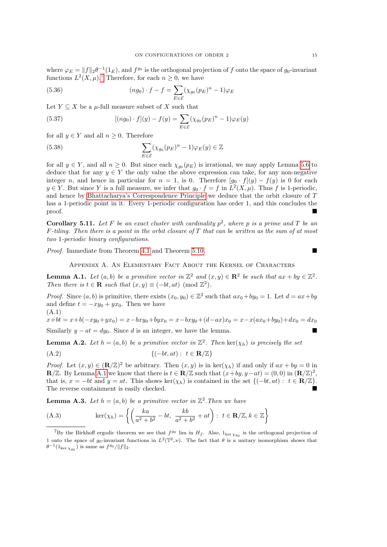where  $\varphi_E = ||f||_2 \theta^{-1}(1_E)$ , and  $f^{g_0}$  is the orthogonal projection of f onto the space of  $g_0$ -invariant functions  $L^2(X, \mu)$ .<sup>[7](#page-14-1)</sup> Therefore, for each  $n \geq 0$ , we have

(5.36) 
$$
(ng_0) \cdot f - f = \sum_{E \in \mathcal{E}} (\chi_{g_0}(p_E)^n - 1) \varphi_E
$$

Let  $Y \subseteq X$  be a  $\mu$ -full measure subset of X such that

(5.37) 
$$
[(ng_0) \cdot f](y) - f(y) = \sum_{E \in \mathcal{E}} (\chi_{g_0}(p_E)^n - 1) \varphi_E(y)
$$

for all  $y \in Y$  and all  $n \geq 0$ . Therefore

(5.38) 
$$
\sum_{E \in \mathcal{E}} (\chi_{g_0}(p_E)^n - 1) \varphi_E(y) \in \mathbb{Z}
$$

for all  $y \in Y$ , and all  $n \geq 0$ . But since each  $\chi_{g_0}(p_E)$  is irrational, we may apply Lemma [5.6](#page-10-3) to deduce that for any  $y \in Y$  the only value the above expression can take, for any non-negative integer n, and hence in particular for  $n = 1$ , is 0. Therefore  $[g_0 \cdot f](y) - f(y)$  is 0 for each  $y \in Y$ . But since Y is a full measure, we infer that  $g_0 \cdot f = f$  in  $L^2(X, \mu)$ . Thus f is 1-periodic, and hence by [Bhattacharya's Correspondence Principle](#page-9-4) we deduce that the orbit closure of T has a 1-periodic point in it. Every 1-periodic configuration has order 1, and this concludes the proof.

**Corollary 5.11.** Let F be an exact cluster with cardinality  $p^2$ , where p is a prime and T be an  $F$ -tiling. Then there is a point in the orbit closure of T that can be written as the sum of at most two 1-periodic binary configurations.

<span id="page-14-0"></span>Proof. Immediate from Theorem [4.1](#page-6-2) and Theorem [5.10.](#page-12-0)

Appendix A. An Elementary Fact About the Kernel of Characters

<span id="page-14-2"></span>**Lemma A.1.** Let  $(a, b)$  be a primitive vector in  $\mathbb{Z}^2$  and  $(x, y) \in \mathbb{R}^2$  be such that  $ax + by \in \mathbb{Z}^2$ . Then there is  $t \in \mathbb{R}$  such that  $(x, y) \equiv (-bt, at) \pmod{\mathbb{Z}^2}$ .

*Proof.* Since  $(a, b)$  is primitive, there exists  $(x_0, y_0) \in \mathbb{Z}^2$  such that  $ax_0 + by_0 = 1$ . Let  $d = ax + by$ and define  $t = -xy_0 + yx_0$ . Then we have (A.1)

 $x+bt = x+b(-xy_0+yx_0) = x-bxy_0+byx_0 = x-bxy_0+(d-ax)x_0 = x-x(ax_0+by_0)+dx_0 = dx_0$ Similarly  $y - at = dy_0$ . Since d is an integer, we have the lemma.

<span id="page-14-3"></span>**Lemma A.2.** Let  $h = (a, b)$  be a primitive vector in  $\mathbb{Z}^2$ . Then ker $(\chi_h)$  is precisely the set

$$
\{(-bt, at) : t \in \mathbf{R}/\mathbb{Z}\}\
$$

*Proof.* Let  $(x, y) \in (\mathbf{R}/\mathbb{Z})^2$  be arbitrary. Then  $(x, y)$  is in  $\ker(\chi_h)$  if and only if  $ax + by = 0$  in  $\mathbf{R}/\mathbb{Z}$ . By Lemma [A.1](#page-14-2) we know that there is  $t \in \mathbf{R}/\mathbb{Z}$  such that  $(x+by, y-at) = (0,0)$  in  $(\mathbf{R}/\mathbb{Z})^2$ . that is,  $x = -bt$  and  $y = at$ . This shows ker( $\chi_h$ ) is contained in the set  $\{(-bt, at) : t \in \mathbb{R}/\mathbb{Z}\}.$ The reverse containment is easily checked.

<span id="page-14-4"></span>**Lemma A.3.** Let  $h = (a, b)$  be a primitive vector in  $\mathbb{Z}^2$ . Then we have

(A.3) 
$$
\ker(\chi_h) = \left\{ \left( \frac{ka}{a^2 + b^2} - bt, \ \frac{kb}{a^2 + b^2} + at \right) : \ t \in \mathbf{R}/\mathbb{Z}, k \in \mathbb{Z} \right\}
$$

<span id="page-14-1"></span><sup>&</sup>lt;sup>7</sup>By the Birkhoff ergodic theorem we see that  $f^{g_0}$  lies in  $H_f$ . Also,  $1_{\ker \chi_{g_0}}$  is the orthogonal projection of 1 onto the space of  $g_0$ -invariant functions in  $L^2(\mathbb{T}^2, \nu)$ . The fact that  $\theta$  is a unitary isomorphism shows that  $\theta^{-1}(1_{\ker \chi_{g_0}})$  is same as  $f^{g_0}/\|f\|_2$ .